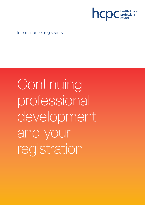

Information for registrants

Continuing professional development and your registration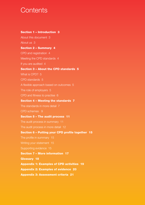# **Contents**

# Section 1 – Introduction 3

About this document 3 About us 3 Section 2 – Summary 4 CPD and registration 4 Meeting the CPD standards 4 If you are audited 4 Section 3 – About the CPD standards 5 What is CPD? 5 CPD standards 5 A flexible approach based on outcomes 5 The role of employers 5 CPD and fitness to practise 6 Section 4 – Meeting the standards 7 The standards in more detail 7 CPD schemes 9 Section 5 – The audit process 11 The audit process in summary 11 The audit process in more detail 12 Section 6 – Putting your CPD profile together 15

Writing your statement 15

Supporting evidence 15

Section 7 – More information 17

Glossary 18

Appendix 1: Examples of CPD activities 19

Appendix 2: Examples of evidence 20

Appendix 3: Assessment criteria 21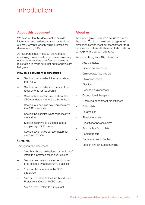# Introduction

# About this document

We have written this document to provide information and guidance to registrants about our requirements for continuing professional development (CPD).

All registrants must meet our standards for continuing professional development. We carry out audits every time a profession renews its registration to make sure that our standards are being met.

#### How this document is structured

- Section one provides information about the HCPC.
- Section two provides a summary of our requirements for registrants.
- Section three explains more about the CPD standards and why we have them.
- Section four explains how you can meet the CPD standards.
- Section five explains what happens if you are audited.
- Section six provides quidance about completing a CPD profile.
- Section seven gives contact details for more information.

#### Language

Throughout this document:

- 'health and care professional' or 'registrant' refers to a professional on our Register;
- 'service user' refers to anyone who uses or is affected by a registrant's practice;
- 'the standards' refers to the CPD standards;
- 'we' or 'us' refers to the Health and Care Professions Council (HCPC); and
- 'you' or 'your' refers to a registrant.

## About us

We are a regulator and were set up to protect the public. To do this, we keep a register of professionals who meet our standards for their professional skills and behaviour. Individuals on our register are called 'registrants'.

We currently regulate 16 professions:

- Arts therapists
- Biomedical scientists
- Chiropodists / podiatrists
- Clinical scientists
- Dietitians
- Hearing aid dispensers
- Occupational therapists
- Operating department practitioners
- **Orthoptists**
- Paramedics
- **Physiotherapists**
- Practitioner psychologists
- Prosthetists / orthotists
- Radiographers
- Social workers in England
- Speech and language therapist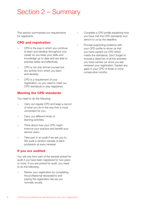# Section 2 – Summary

This section summarises our requirements for registrants.

# CPD and registration

- CPD is the way in which you continue to learn and develop throughout your career so you keep your skills and knowledge up to date and are able to practise safely and effectively.
- CPD is not only formal courses but any activity from which you learn and develop.
- CPD is a requirement of your registration, so you need to meet our CPD standards to stay registered.

# Meeting the CPD standards

You need to do the following.

- Carry out regular CPD and keep a record of what you do in the way that is most convenient for you.
- Carry out different kinds of learning activities.
- Think about how your CPD might improve your practice and benefit your service users.
- Take part in an audit if we ask you to. We audit a random sample of each profession at every renewal.

# If you are audited

You will only form part of the sample picked for audit if you have been registered for two years or more. If you are picked for audit, you need to do the following.

– Renew your registration by completing the professional declarations and paying the registration fee (as you normally would).

- Complete a CPD profile explaining how you have met the CPD standards and send it to us by the deadline.
- Provide supporting evidence with your CPD profile to show us that you have carried out CPD which meets the standards. Don't forget to include a dated list of all the activities you have carried out since you last renewed your registration. Explain any gaps in your CPD of three or more consecutive months.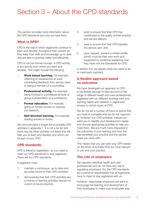# Section 3 – About the CPD standards

This section provides more information about the CPD standards and why we have them.

## What is CPD?

CPD is the way in which registrants continue to learn and develop throughout their careers so they keep their skills and knowledge up to date and are able to practise safely and effectively.

CPD is not just formal courses. A CPD activity is any activity from which you learn and develop. This might include the following.

- Work-based learning. For example, reflecting on experiences at work, considering feedback from service users or being a member of a committee.
- Professional activity. For example, being involved in a professional body or giving a presentation at a conference.
- Formal education. For example, going on formal courses or carrying out research.
- Self-directed learning. For example, reading articles or books.

We have provided a longer list of possible CPD activities in appendix 1. It is not a full list and there may be other activities not listed that still help you to learn and develop and which can be part of your CPD.

# CPD standards

CPD is linked to registration, so you need to meet our CPD standards to stay registered. There are five CPD standards.

A registrant must:

- 1. maintain a continuous, up-to-date and accurate record of their CPD activities;
- 2. demonstrate that their CPD activities are a mixture of learning activities relevant to current or future practice;
- 3. seek to ensure that their CPD has contributed to the quality of their practice and service delivery;
- 4. seek to ensure that their CPD benefits the service user; and
- 5. upon request, present a written profile (which must be their own work and supported by evidence) explaining how they have met the Standards for CPD.

In section four we explain what you need to do to meet each standard.

# A flexible approach based on outcomes

We have developed our approach to CPD to be flexible enough to take account of the range of different health and care professionals registered with us, different working roles and learning needs and variation in registrants' access to certain types of CPD.

We do not set a number of hours or points that you have to complete and we do not 'approve' or 'endorse' any CPD activities. Instead we want you to identify your development needs and choose appropriate activities to help you meet them. We are much more interested in the outcomes of your learning and how this has benefited your practice and the service users you work with.

This means that you can plan your CPD based on the kinds of activities that are most relevant to you and your practice.

# The role of employers

We regulate individual health and care professionals and do not have any role in regulating employers. So, the CPD standards are a personal responsibility that all registrants have to meet to stay registered with us.

However, responsible employers will want to encourage the learning and development of their employees to make sure employees stay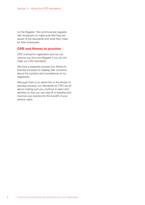on the Register. We communicate regularly with employers to make sure that they are aware of the standards and what they mean for their employees.

#### CPD and fitness to practise

CPD is linked to registration and we can remove you from the Register if you do not meet our CPD standards.

We have a separate process (our fitness to practise process) for dealing with concerns about the conduct and competence of our registrants.

Although there is no direct link to the fitness to practise process, our standards for CPD are all about making sure you continue to learn and develop so that you can stay fit to practise and improve your practice for the benefit of your service users.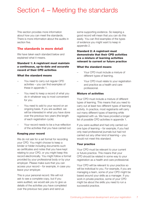# Section 4 – Meeting the standards

This section provides more information about how you can meet the standards. There is more information about the audits in section five.

## The standards in more detail

We have taken each standard below and explained what it means.

#### Standard 1: A registrant must maintain a continuous, up-to-date and accurate record of their CPD activities

#### What the standard means

- You need to carry out regular CPD activities – you can find examples of these in appendix 1.
- You need to keep a record of what you do in whatever way is most convenient for you.
- You need to add to your record on an ongoing basis. If you are audited, we will be interested in what you have done over the previous two years (the length of each registration cycle).
- Your record needs to be a true reflection of the activities that you have carried out.

#### Keeping your record

We do not ask for a set format for recording your CPD. You might choose to keep a binder or folder including documents such as certificates and notes that you have kept relating to your CPD, or you might keep this record electronically. You might follow a format provided by your professional body or by your employer. Please make sure that you can access your record – for example, in case you leave your employer.

This is your personal record. We will not ask to see a complete copy, but if you were audited, we would ask you to give us details of the activities you have completed over the previous two years and send us

some supporting evidence. So keeping a good record will mean that you can do this easily. You can find examples of the types of evidence you might want to keep in appendix 2.

#### Standard 2: A registrant must demonstrate that their CPD activities are a mixture of learning activities relevant to current or future practice

#### What the standard means

- Your CPD must include a mixture of different types of learning.
- Your CPD must relate to your registration and practice as a health and care professional.

#### Mixture of activities

Your CPD must include a mixture of different types of learning. This means that you need to carry out at least two different types of learning activity. In practice, most registrants will carry out many different types of learning while registered with us. We have provided a longer list of possible CPD activities in appendix 1.

If you were audited and had only carried out one type of learning – for example, if you had only read professional journals but had not carried out any other kind of learning – you would not meet this standard.

#### Your practice

Your CPD must be relevant to your current or future practice. This means that your CPD should be related in some way to your registration as a health and care professional.

Your CPD will be relevant to your practice so will be individual to you. For example, if you are managing a team, some of your CPD might be based around your skills as a manager. If you work in private practice, some of your CPD might be about the skills you need to run a successful practice.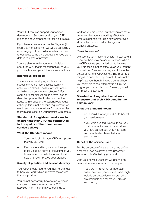Your CPD can also support your career development. So some or all of your CPD might be about preparing you for a future role.

If you have an annotation on the Register (for example, in prescribing), we would particularly encourage you to consider whether you need to complete some CPD activities to keep up to date in this area of practice.

You are able to make your own decisions about the CPD that is most beneficial to you, your practice and your future career ambitions.

#### Interactive activities

There is some developing evidence that suggests that the most effective learning activities are often those that are 'interactive' and which encourage 'self-reflection'. For example, 'peer discussion' is a term used to describe opportunities to discuss practice issues with groups of professional colleagues. Although this is not a specific requirement, we would encourage you to look for opportunities to learn and reflect on your practice with others.

#### Standard 3: A registrant must seek to ensure that their CPD has contributed to the quality of their practice and service delivery

#### What the Standard means

- You should aim for your CPD to improve the way you work.
- If you were audited, we would ask you to tell us about some of the activities you have carried out, what you learnt and how this has improved your practice.

#### Quality of practice and service delivery

Your CPD should lead to you making changes to how you work which improves the service that you provide.

You do not necessarily have to make drastic changes to how you work. Some CPD activities might mean that you continue to

work as you did before, but that you are more confident that you are working effectively. Others might help you gain new or improved skills or help you to make changes to working practices.

#### 'Seek to ensure'

We use the term 'seek to ensure' in standard 3 because there may be some instances where the CPD activity you carried out to improve your practice is not as effective as you thought it would be. You cannot always anticipate the actual benefits of CPD activity. The important thing is to consider why the activity was not as helpful as you thought it would be, and how you might do things differently in future. As long as you can explain this if asked, you will still meet this standard.

#### Standard 4: A registrant must seek to ensure that their CPD benefits the service user

#### What the standard means

- You should aim for your CPD to benefit your service users.
- If you were audited, we would ask you to tell us about some of the activities you have carried out, what you learnt and how this has benefited your service users.

#### Benefits the service user

For the purposes of this standard, we define a 'service user' as anyone who uses your services or is affected by your work.

Who your service users are will depend on how and where you work. For example:

if you are in 'front line' or laboratorybased practice, your service users might include patients, clients, carers, other professionals and others you provide services to;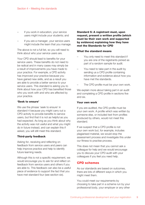- if you work in education, your service users might include your students; and
- if you are a manager, your service users might include the team that you manage.

The above is not a full list, so you will need to think about who your service users are.

Your CPD should lead to benefits for your service users. These benefits do not need to be radical and in many cases may simply be a result of improvements you have made to your practice. For example, a CPD activity has improved your practice because you have gained new skills, and as a result you are able to provide a better service to your service users. This standard is asking you to think about how your CPD has benefited those who you work with and who are affected by your practice.

#### 'Seek to ensure'

We use the phrase 'seek to ensure' in standard 4 because you might carry out a CPD activity to provide benefits to service users, but find that it is not as helpful as you had expected. As long as you think about why the activity was not useful and what you might do in future instead, and can explain this if asked, you will still meet this standard.

#### Third-party feedback

Asking for, receiving and reflecting on feedback from service users and peers can help improve practice and help to identify future learning needs.

Although this is not a specific requirement, we would encourage you to ask for and reflect on feedback from service users and others if you are able to. This feedback can also be a useful piece of evidence to support the fact that you have met standard four (see section six).

Standard 5: A registrant must, upon request, present a written profile (which must be their own work and supported by evidence) explaining how they have met the Standards for CPD

#### What the standard means

- You only need to meet this standard if you are one of the registrants picked as part of a random sample for audit.
- You need to take part in the audit by sending us a CPD profile containing information and evidence about how you have met the standards.
- The CPD profile must be your own work.

We explain more about taking part in an audit and completing a CPD profile in sections five and six.

#### Your own work

If you are audited, the CPD profile must be your own work. A profile which was written by someone else, or included text from profiles produced by others, would not meet this standard.

If we suspect that a CPD profile is not your own work but, for example, includes plagiarised material, we would stop the assessment process and investigate this under our fitness to practise process.

This does not mean that you cannot ask a colleague for help and we would encourage you to discuss your CPD audit with your colleagues if you feel you need help.

## CPD schemes

As our standards are based on outcomes, there are lots of different ways in which you might meet them.

You could meet our requirements by choosing to take part in a scheme run by your professional body, your employer or any other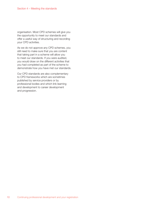organisation. Most CPD schemes will give you the opportunity to meet our standards and offer a useful way of structuring and recording your CPD activities.

As we do not approve any CPD schemes, you still need to make sure that you are content that taking part in a scheme will allow you to meet our standards. If you were audited, you would draw on the different activities that you had completed as part of the scheme to demonstrate how you have met our standards.

Our CPD standards are also complementary to CPD frameworks which are sometimes published by service providers or by professional bodies and which link learning and development to career development and progression.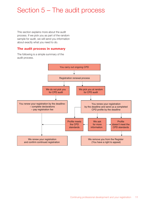# Section 5 – The audit process

This section explains more about the audit process. If we pick you as part of the random sample for audit, we will send you information about exactly what you need to do.

### The audit process in summary

The following is a simple summary of the audit process.

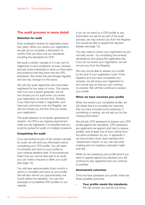## The audit process in more detail

#### Selection for audit

Each profession renews its registration every two years. When you renew your registration, we ask you to complete a declaration to confirm that you have met our standards, including the standards for CPD.

We audit a random sample of 2.5 per cent of registrants in each profession at every renewal and ask these individuals to send us information and evidence that they have met the CPD standards. We review this percentage regularly and we may change it in the future.

We will only audit registrants who have been registered for two years or more. This means that if you are a recent graduate, we will not choose you for audit when you renew your registration for the first time. Similarly, if you have had a break in registration and have just come back onto the Register, we will not choose you the first time you renew your registration.

The audit selection is computer-generated at random. As CPD is an ongoing requirement while you are registered, it is possible that you could be picked for audit on multiple occasions.

#### Completing the audit

If you are picked as part of the random sample for audit, we will send you information about completing your CPD profile. You will need to complete and send us your profile by your renewal deadline date. If circumstances mean that you cannot take part in an audit, you can make a request to defer your audit (see page 14).

You will have approximately three months in which to complete and send us your profile. We will also remind you approximately one month before the deadline. You can find examples of completed CPD profiles on our website.

If you do not send us a CPD profile or any information we ask for as part of the audit process, we may remove you from the Register. You would be able to appeal this decision (please see page 13).

You also need to renew your registration as you normally would – by completing the renewal declarations and paying the registration fee. If you do not renew your registration, we will remove you from the Register.

We may not be able to assess your profile by the end of your registration cycle. If that happens and you have completed your renewal, we will renew your registration in the normal way so that you can continue to practise. We will then continue to assess your profile.

#### When we have received your profile

When we receive your completed profile, we will check that it is complete (for example, that you have included some evidence). If something is missing, we will ask you for the missing information.

We will ask CPD assessors to assess your CPD profile against the standards. CPD assessors are registrants we appoint and train to assess profiles, and at least one of them will be from the same profession as you. In appendix 3, we have broken down each standard into 'assessment criteria' so you can see what meeting and not meeting a standard might look like.

While we are assessing your profile (and if you were to appeal against any decision) you will continue to stay registered and can continue to practise.

#### Assessment outcomes

Once we have assessed your profile, there are three possible outcomes.

Your profile meets the standards. We will contact you and let you know.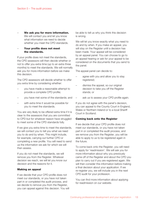We ask you for more information. We will contact you and let you know what information we need to decide whether you meet the CPD standards.

#### Your profile does not meet the standards.

If your profile does not meet the standards, the CPD assessors will then decide whether or not to offer you extra time (up to an extra three months) to meet the standards. We will normally ask you for more information before we make this decision.

The CPD assessors will decide whether to offer you extra time by considering whether:

- you have made a reasonable attempt to provide a complete CPD profile;
- you have met some of the standards; and
- with extra time it would be possible for you to meet the standards.

You are very likely to be offered extra time if it is clear to the assessors that you are committed to CPD but for whatever reason have struggled to meet some of the CPD standards fully.

If we give you extra time to meet the standards, we will contact you to tell you what we need you to do and by when. This might include, for example, carrying out further CPD or completing a new profile. You will need to send us the information we ask for which we will then assess.

If you do not meet the standards, we will remove you from the Register. Whatever decision we reach, we will let you know our decision and the reasons for it.

#### Making an appeal

If we decide that your CPD profile does not meet our standards, or you have not taken part in or completed the audit process, and we decide to remove you from the Register, you can appeal against this decision. You will

be able to tell us why you think this decision is wrong.

We will let you know exactly what you need to do and by when. If you make an appeal, you will stay on the Register until a decision has been made. Your appeal will be considered by an appeal panel. You can choose to go to an appeal hearing or ask for your appeal to be considered on the documents that you send to the panel.

The appeal panel can decide to:

- agree with you and allow you to stay registered;
- dismiss the appeal, so our original decision to take you off the Register stands; or
- ask us to assess your CPD profile again.

If you do not agree with the panel's decision, you can appeal to the County Court in England, Wales or Northern Ireland or to a local Sheriff Court in Scotland.

#### Coming back onto the Register

If we decide that your CPD profile does not meet our standards, or you have not taken part in or completed the audit process, and we remove you from the Register, you will be able to apply to us to be registered again in the future.

To come back onto the Register, you will need to apply for 'readmission'. We will ask you for more information about why you previously came off of the Register and about the CPD you plan to carry out if you are registered again. We will then consider this information before making a final decision about your application. If we re-register you, we will include you in the next CPD audit for your profession.

You can find more information about applying for readmission on our website.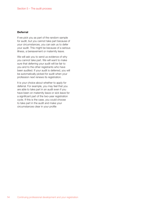#### **Deferral**

If we pick you as part of the random sample for audit, but you cannot take part because of your circumstances, you can ask us to defer your audit. This might be because of a serious illness, a bereavement or maternity leave.

We will ask you to send us evidence of why you cannot take part. We will want to make sure that deferring your audit will be fair to you and to the other registrants who have been audited. If your audit is deferred, you will be automatically picked for audit when your profession next renews its registration.

It is your choice about whether to apply for deferral. For example, you may feel that you are able to take part in an audit even if you have been on maternity leave or sick leave for a significant part of the two-year registration cycle. If this is the case, you could choose to take part in the audit and make your circumstances clear in your profile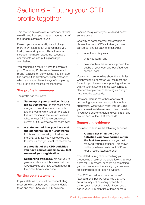# Section 6 – Putting your CPD profile together

This section provides a brief summary of what we will need from you if we pick you as part of the random sample for audit.

If we do pick you for audit, we will give you more information about what we need you to do, how and by when. This information includes information about the reasonable adjustments we can put in place if you are disabled.

You can find out more in 'How to complete your Continuing Professional Development profile' available on our website. You can also find sample CPD profiles for each profession which show you different ways of completing your profile and meeting the standards.

# The profile in summary

The profile has four parts.

- Summary of your practice history (up to 500 words). In this section, we ask you to describe your current role and the type of work you do. We ask for this information so that we can assess whether your CPD is relevant to your current or future practice (standard two).
- A statement of how you have met the standards (up to 1,500 words). In this section, we ask you to draw on the CPD activities you have carried out to show us how you meet the standards.
- A dated list of the CPD activities you have carried out since you last renewed your registration.
- **Supporting evidence.** We ask you to give us evidence which shows that the CPD activities you have written about in the profile have taken place.

# Writing your statement

In your statement, you will be concentrating most on telling us how you meet standards three and four – how your CPD activities

improve the quality of your work and benefit service users.

One way to complete your statement is to choose four to six CPD activities you have carried out and for each one describe:

- what the activity was:
- what you learnt; and
- how you think the activity improved the quality of your work and benefited your service users.

You can choose to tell us about the activities which you think benefited you the most and for which you have some supporting evidence. Writing your statement in this way can be a clear and simple way of showing us how you have met the standards.

However, there is more than one way of completing your statement so this is only a suggestion. Other ways might include using your professional development plan or similar (if you have one) or structuring your statement around each of the CPD standards.

# Supporting evidence

You need to send us the following evidence.

– A dated list of all the CPD activities you have carried out in the last two years (since you last renewed your registration). This shows us that you have carried out CPD and kept a record (standard one).

Your dated list might be something you produce as a result of the audit, looking at your personal CPD record, or might be something you can produce automatically if you are using an electronic record-keeping system.

Your CPD record must be 'continuous' (standard one) but we recognise that CPD activities may not be evenly spaced out during your registration cycle. If you have a gap in your CPD activities of three or more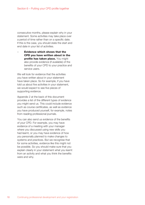consecutive months, please explain why in your statement. Some activities may take place over a period of time rather than on a specific date. If this is the case, you should state the start and end date in your list of activities.

– Evidence which shows that the CPD you have written about in the **profile has taken place.** You might also provide evidence (if available) of the benefits of your CPD to your practice and service users.

We will look for evidence that the activities you have written about in your statement have taken place. So for example, if you have told us about five activities in your statement, we would expect to see five pieces of supporting evidence.

Appendix 2 at the back of this document provides a list of the different types of evidence you might send us. This could include evidence such as course certificates, as well as evidence you have produced yourself, for example, notes from reading professional journals.

You can also send us evidence of the benefits of your CPD. For example, you may have evidence of a meeting with your manager where you discussed using new skills you had learnt, or you may have evidence of how you personally planned to make changes to systems and practices. But we recognise that for some activities, evidence like this might not be possible. So you should make sure that you explain clearly in your statement what you learnt from an activity and what you think the benefits were and why.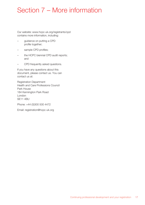# Section 7 – More information

Our website: www.hcpc-uk.org/registrants/cpd contains more information, including:

- guidance on putting a CPD profile together;
- sample CPD profiles;
- the HCPC biennial CPD audit reports; and
- CPD frequently asked questions.

If you have any questions about this document, please contact us. You can contact us at:

Registration Department Health and Care Professions Council Park House 184 Kennington Park Road London SE11 4BU

Phone: +44 (0)300 500 4472

Email: registration@hcpc-uk.org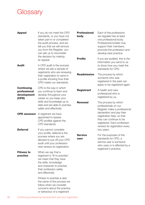# **Glossary**

| <b>Appeal</b>                                             | If you do not meet the CPD<br>standards, or you have not<br>taken part in or completed<br>the audit process, and we<br>tell you that we will remove<br>you from the Register, you<br>can ask us to reconsider | <b>Professional</b><br>body | Each of the professions<br>we regulate has at least<br>one professional body.<br>Professional bodies may<br>support their members,<br>promote the profession and<br>develop best practice. |
|-----------------------------------------------------------|---------------------------------------------------------------------------------------------------------------------------------------------------------------------------------------------------------------|-----------------------------|--------------------------------------------------------------------------------------------------------------------------------------------------------------------------------------------|
|                                                           | the decision by making<br>an appeal.                                                                                                                                                                          | <b>Profile</b>              | If you are audited, this is the<br>information you send to us                                                                                                                              |
| <b>Audit</b>                                              | A CPD audit is the process<br>where we ask a sample of<br>registrants who are renewing<br>their registration to send in<br>a profile showing how their<br>CPD meets our standards.                            | <b>Readmission</b>          | to show how you meet the<br>standards for CPD.<br>The process by which<br>someone who was<br>registered in the past can<br>apply to be registered again.                                   |
| <b>Continuing</b><br>professional<br>development<br>(CPD) | CPD is the way in which<br>you continue to learn and<br>develop throughout your<br>career so you keep your                                                                                                    | <b>Registrant</b>           | A health and care<br>professional who is<br>registered by us.                                                                                                                              |
|                                                           | skills and knowledge up to<br>date and are able to practise<br>safely and effectively.                                                                                                                        | <b>Renewal</b>              | The process by which<br>professionals on our<br>Register make a professional                                                                                                               |
|                                                           | <b>CPD assessor</b> A registrant we have<br>appointed to assess<br>CPD profiles against the<br>CPD standards.                                                                                                 |                             | declaration and pay their<br>registration fees, so that<br>they can continue to be<br>registered. Each profession<br>renews its registration every                                         |
| <b>Deferral</b>                                           | If you cannot complete<br>your profile, deferral is the<br>process where you are<br>allowed to put off your CPD<br>audit until your profession<br>next renews its registration.                               | <b>Service</b><br>user      | two years.<br>For the purposes of the<br>standards for CPD, a<br>service user is someone<br>who uses or is affected by a<br>registrant's practice.                                         |
| <b>Fitness to</b><br>practise                             | When we say that a<br>registrant is 'fit to practise',<br>we mean that they have<br>the skills, knowledge<br>and character to practise<br>their profession safely<br>and effectively.                         |                             |                                                                                                                                                                                            |
|                                                           | Fitness to practise is also<br>the name of the process we<br>follow when we consider<br>concerns about the practice                                                                                           |                             |                                                                                                                                                                                            |

or behaviour of a registrant.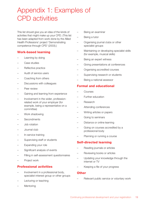# Appendix 1: Examples of CPD activities

This list should give you an idea of the kinds of activities that might make up your CPD. (This list has been adapted from work done by the Allied Health Professions' project 'Demonstrating competence through CPD' (2003).)

# Work-based learning

- Learning by doing
- Case studies
- Reflective practice
- Audit of service users
- Coaching from others
- Discussions with colleagues
- Peer review
- Gaining and learning from experience
- Involvement in the wider, professionrelated work of your employer (for example, being a representative on a committee)
- Work shadowing
- Secondments
- Job rotation
- Journal club
- In-service training
- Supervising staff or students
- Expanding your role
- Significant analysis of events
- Filling in self-assessment questionnaires
- Project work

# Professional activities

- Involvement in a professional body, specialist-interest group or other groups
- Lecturing or teaching
- **Mentoring**
- Being an examiner
- Being a tutor
- Organising journal clubs or other specialist groups
- Maintaining or developing specialist skills (for example, musical skills)
- Being an expert witness
- Giving presentations at conferences
- Organising accredited courses
- Supervising research or students
- Being a national assessor

# Formal and educational

- **Courses**
- Further education
- Research
- Attending conferences
- Writing articles or papers
- Going to seminars
- Distance or online learning
- Going on courses accredited by a professional body
- Planning or running a course

# Self-directed learning

- Reading journals or articles
- Reviewing books or articles
- Updating your knowledge through the internet or TV
- Keeping a file of your progress

#### **Other**

– Relevant public service or voluntary work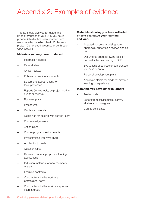# Appendix 2: Examples of evidence

This list should give you an idea of the kinds of evidence of your CPD you could provide. (This list has been adapted from work done by the Allied Health Professions' project 'Demonstrating competence through CPD' (2003).)

#### Materials you may have produced

- Information leaflets
- Case studies
- Critical reviews
- Policies or position statements
- Documents about national or local processes
- Reports (for example, on project work or audits or reviews)
- Business plans
- Procedures
- Guidance materials
- Guidelines for dealing with service users
- Course assignments
- Action plans
- Course programme documents
- Presentations you have given
- Articles for journals
- **Questionnaires**
- Research papers, proposals, funding applications
- Induction materials for new members of staff
- Learning contracts
- Contributions to the work of a professional body
- Contributions to the work of a specialinterest group

#### Materials showing you have reflected on and evaluated your learning and work

- Adapted documents arising from appraisals, supervision reviews and so on
- Documents about following local or national schemes relating to CPD
- Evaluations of courses or conferences you have been to
- Personal development plans
- Approved claims for credit for previous learning or experience

#### Materials you have got from others

- **Testimonials**
- Letters from service users, carers, students or colleagues
- Course certificates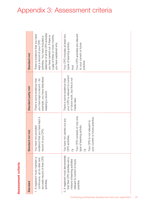# Assessment criteria Assessment criteria

| Standard                                                                                                                                            | Standard not met                                                                                                                                                                                  | Standard partly met                                                                                              | Standard met                                                                                                                                                                                                                              |
|-----------------------------------------------------------------------------------------------------------------------------------------------------|---------------------------------------------------------------------------------------------------------------------------------------------------------------------------------------------------|------------------------------------------------------------------------------------------------------------------|-------------------------------------------------------------------------------------------------------------------------------------------------------------------------------------------------------------------------------------------|
| accurate record of their CPD<br>1. A registrant must maintain a<br>continuous, up-to-date and<br>activities.                                        | evidence that you have kept a<br>You have not provided<br>record of your CPD.                                                                                                                     | example, you have described<br>you have kept a record - for<br>There is some evidence that<br>keeping a record.  | dated list of all the CPD activities<br>There is evidence that you have<br>a gap of three or more months,<br>you have carried out. If there is<br>activities. You have included a<br>kept a record of your CPD<br>you have explained why. |
| 2. A registrant must demonstrate<br>that their CPD activities are a<br>mixture of learning activities<br>relevant to current or future<br>practice. | Your CPD consists of only one<br>your current or future practice.<br>You have not carried out any<br>is not relevant to<br>type of learning activity.<br>CPD activities.<br>Your CPD is<br>ð<br>ò | your CPD is relevant to current<br>or future work, but this is not<br>There is some evidence that<br>made clear. | Your CPD activities are relevant<br>Your CPD includes at least two<br>types of learning activity.<br>to your current or future<br>practice.<br>And                                                                                        |

# Appendix 3: Assessment criteria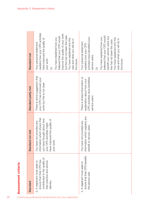| 22                                                        | Assessment criteria                                                                                                                   |                                                                                                                                                                         |                                                                                                                  |                                                                                                                                                                                                                                                                                                                                  |
|-----------------------------------------------------------|---------------------------------------------------------------------------------------------------------------------------------------|-------------------------------------------------------------------------------------------------------------------------------------------------------------------------|------------------------------------------------------------------------------------------------------------------|----------------------------------------------------------------------------------------------------------------------------------------------------------------------------------------------------------------------------------------------------------------------------------------------------------------------------------|
|                                                           | Standard                                                                                                                              | not met<br><b>Standard</b>                                                                                                                                              | Standard partly met                                                                                              | Standard met                                                                                                                                                                                                                                                                                                                     |
| Continuing professional development and your registration | contributed to the quality of<br>ensure that their CPD has<br>their practice and service<br>3. A registrant must seek to<br>delivery. | information which shows that<br>you have thought about how<br>have improved the quality of<br>not provided any<br>activities might<br>your work<br>your CPD<br>You have | There is some suggestion that<br>your CPD has improved your<br>work but this is not clear.                       | explains how your CPD activities<br>improve the quality of your work<br>but this has not been the case.<br>believed that your CPD would<br>You have explained how you<br>You have explained why this<br>have improved the quality of<br>was and what you will do in<br>Your personal statement<br>your work.<br>the future.<br>ð |
|                                                           | ensure that their CPD benefits<br>4. A registrant must seek to<br>the service user.                                                   | information which explains any<br>not provided any<br>service users.<br>You have<br>benefit to                                                                          | There is limited information or<br>CPD activities have benefited<br>explanation about how your<br>service users. | believed that your CPD would<br>benefit your service users but<br>You have explained how you<br>activities have benefited your<br>You have explained why this<br>was and what you will do in<br>this has not been the case.<br>Your personal statement<br>explains how your CPD<br>service users.<br>the future.<br>ð            |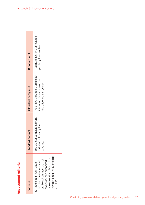| ľ                                                                                                                    |
|----------------------------------------------------------------------------------------------------------------------|
| <b>Contract Contract Contract Contract Contract Contract Contract Contract Contract Contract Contract Contract C</b> |
|                                                                                                                      |
| r<br>֚                                                                                                               |
|                                                                                                                      |
| ٠                                                                                                                    |
| ı<br>t                                                                                                               |
|                                                                                                                      |
|                                                                                                                      |
| ľ                                                                                                                    |
| d<br>1                                                                                                               |
|                                                                                                                      |
|                                                                                                                      |
| ľ<br>١                                                                                                               |
| t<br>۱                                                                                                               |
| ä<br>I                                                                                                               |
| l<br>1                                                                                                               |
| ı<br>1                                                                                                               |
| ī                                                                                                                    |

| Standard                                                                                                                                                                                    | not met<br>Standard r                                                         | Standard partly met                                                                            | Standard met                                             |
|---------------------------------------------------------------------------------------------------------------------------------------------------------------------------------------------|-------------------------------------------------------------------------------|------------------------------------------------------------------------------------------------|----------------------------------------------------------|
| they have met the Standards<br>by evidence) explaining how<br>profile (which must be their<br>equest, present a written<br>own work and supported<br>5. A registrant must, upon<br>for CPD. | complete a profile<br>to us by the<br>You did not<br>and send it<br>deadline. | You have provided a profile but<br>it is incomplete (for example,<br>the evidence is missing). | You have sent in a completed<br>profile by the deadline. |